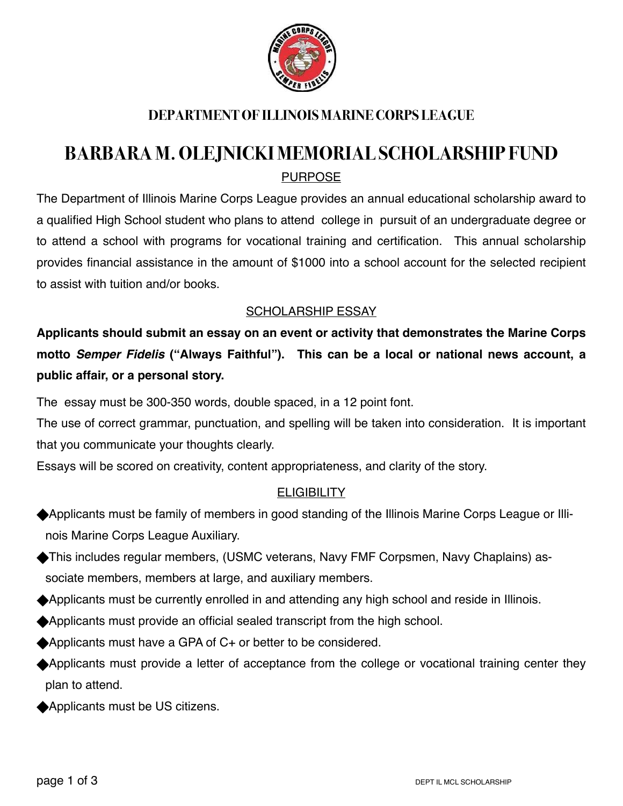

# **DEPARTMENT OF ILLINOIS MARINE CORPS LEAGUE**

# **BARBARA M. OLEJNICKI MEMORIAL SCHOLARSHIP FUND**  PURPOSE

The Department of Illinois Marine Corps League provides an annual educational scholarship award to a qualified High School student who plans to attend college in pursuit of an undergraduate degree or to attend a school with programs for vocational training and certification. This annual scholarship provides financial assistance in the amount of \$1000 into a school account for the selected recipient to assist with tuition and/or books.

#### SCHOLARSHIP ESSAY

**Applicants should submit an essay on an event or activity that demonstrates the Marine Corps motto** *Semper Fidelis* **("Always Faithful"). This can be a local or national news account, a public affair, or a personal story.**

The essay must be 300-350 words, double spaced, in a 12 point font.

The use of correct grammar, punctuation, and spelling will be taken into consideration. It is important that you communicate your thoughts clearly.

Essays will be scored on creativity, content appropriateness, and clarity of the story.

## **ELIGIBILITY**

- Applicants must be family of members in good standing of the Illinois Marine Corps League or Illinois Marine Corps League Auxiliary.
- This includes regular members, (USMC veterans, Navy FMF Corpsmen, Navy Chaplains) associate members, members at large, and auxiliary members.
- Applicants must be currently enrolled in and attending any high school and reside in Illinois.
- Applicants must provide an official sealed transcript from the high school.
- ◆ Applicants must have a GPA of C+ or better to be considered.
- Applicants must provide a letter of acceptance from the college or vocational training center they plan to attend.
- ◆ Applicants must be US citizens.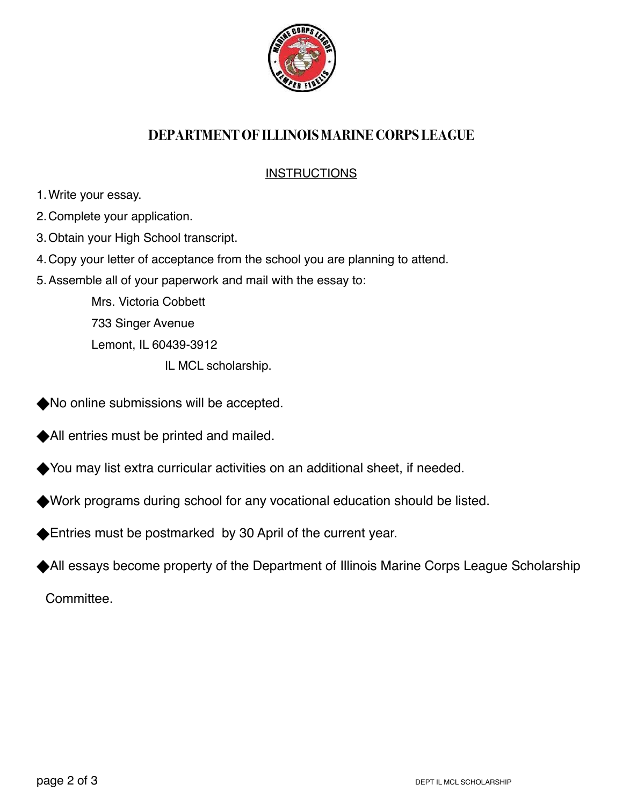

## **DEPARTMENT OF ILLINOIS MARINE CORPS LEAGUE**

### **INSTRUCTIONS**

- 1.Write your essay.
- 2.Complete your application.
- 3.Obtain your High School transcript.
- 4.Copy your letter of acceptance from the school you are planning to attend.
- 5.Assemble all of your paperwork and mail with the essay to:

Mrs. Victoria Cobbett 733 Singer Avenue Lemont, IL 60439-3912

IL MCL scholarship.

- No online submissions will be accepted.
- All entries must be printed and mailed.
- You may list extra curricular activities on an additional sheet, if needed.
- Work programs during school for any vocational education should be listed.
- Entries must be postmarked by 30 April of the current year.
- All essays become property of the Department of Illinois Marine Corps League Scholarship

Committee.